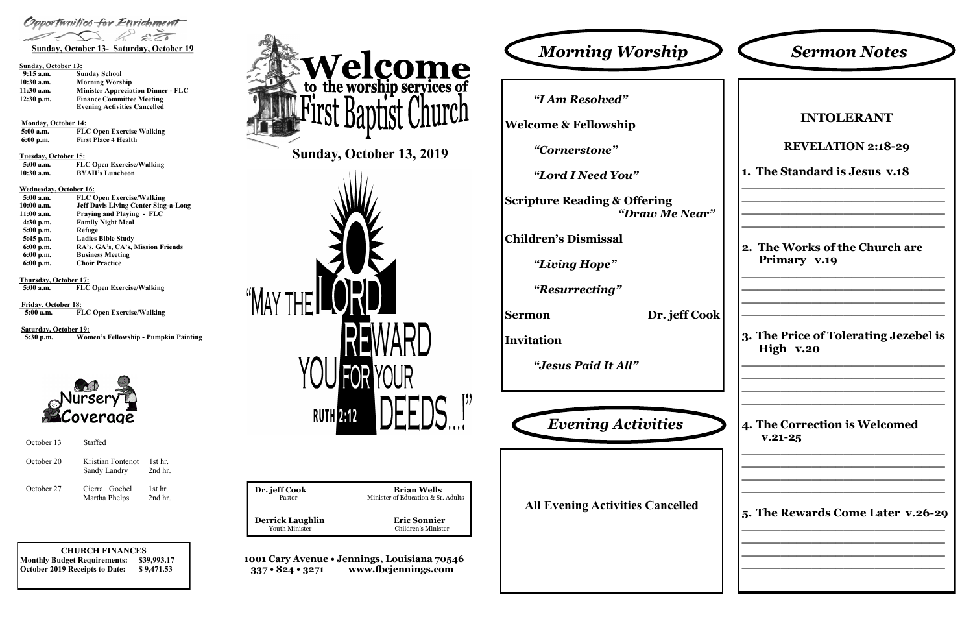**CHURCH FINANCES Monthly Budget Requirements: \$39,993.17 October 2019 Receipts to Date: \$ 9,471.53**

**1001 Cary Avenue • Jennings, Louisiana 70546 337 • 824 • 3271 www.fbcjennings.com**



**Dr. jeff Cook Brian Wells**<br>Pastor **Brian Wells**<br>Minister of Education & Sr. Minister of Education & Sr. Adults **Derrick Laughlin**<br>
Youth Minister<br>
Children's Minister Children's Minister



#### **Sunday, October 13:**

| $9:15$ a.m.  | <b>Sunday School</b>                      |
|--------------|-------------------------------------------|
| $10:30$ a.m. | <b>Morning Worship</b>                    |
| $11:30$ a.m. | <b>Minister Appreciation Dinner - FLC</b> |
| $12:30$ p.m. | <b>Finance Committee Meeting</b>          |
|              | <b>Evening Activities Cancelled</b>       |

**Monday, October 14:** 

**5:00 a.m. FLC Open Exercise Walking 6:00 p.m. First Place 4 Health**

**Tuesday, October 15:**

| rucount, occoper ret |                                  |
|----------------------|----------------------------------|
| 5:00 a.m.            | <b>FLC Open Exercise/Walking</b> |
| $10:30$ a.m.         | <b>BYAH's Luncheon</b>           |

#### **Wednesday, October 16:**

| $5:00$ a.m. | <b>FLC Open Exercise/Walking</b>            |
|-------------|---------------------------------------------|
| 10:00 a.m.  | <b>Jeff Davis Living Center Sing-a-Long</b> |
| 11:00 a.m.  | Praying and Playing - FLC                   |
| $4:30$ p.m. | <b>Family Night Meal</b>                    |
| $5:00$ p.m. | Refuge                                      |
| 5:45 p.m.   | <b>Ladies Bible Study</b>                   |
| $6:00$ p.m. | RA's, GA's, CA's, Mission Friends           |
| $6:00$ p.m. | <b>Business Meeting</b>                     |
| $6:00$ p.m. | <b>Choir Practice</b>                       |

**Thursday, October 17:**<br>5:00 a.m. **FLC** 

**FLC Open Exercise/Walking** 

**Friday, October 18: 5:00 a.m. FLC Open Exercise/Walking**

**Saturday, October 19: 5:30 p.m. Women's Fellowship - Pumpkin Painting**



*"I Am Resolved"*

**Welcome & Fellowship**

*"Cornerstone"*

*"Lord I Need You"*

**Scripture Reading & Offering** *"Draw Me Near"*

**Children's Dismissal**

*"Living Hope"*

*"Resurrecting"*

**Sermon Dr. jeff Cook**

**Invitation**

*"Jesus Paid It All"*

| <b>Sermon Notes</b>                                |
|----------------------------------------------------|
|                                                    |
| <b>INTOLERANT</b>                                  |
| <b>REVELATION 2:18-29</b>                          |
| 1. The Standard is Jesus v.18                      |
|                                                    |
| 2. The Works of the Church are<br>Primary v.19     |
| 3. The Price of Tolerating Jezebel is<br>High v.20 |
| 4. The Correction is Welcomed<br>$V.21 - 25$       |
| 5. The Rewards Come Later v.26-29                  |
|                                                    |

**All Evening Activities Cancelled**



| October 13 | Staffed                           |                        |
|------------|-----------------------------------|------------------------|
| October 20 | Kristian Fontenot<br>Sandy Landry | $1st$ hr.<br>2nd hr.   |
| October 27 | Cierra Goebel<br>Martha Phelps    | $1st$ hr.<br>$2nd$ hr. |